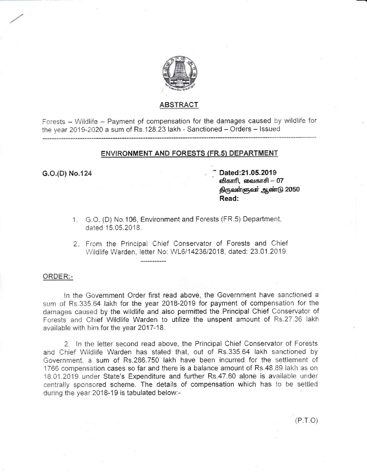

## **ABSTRACT**

Forests - Wildlife - Payment of compensation for the damages caused by wildlife for the year 2019-2020 a sum of Rs.128.23 lakh - Sanctioned - Orders - Issued

### **ENVIRONMENT AND FORESTS (FR.5) DEPARTMENT**

### G.O.(D) No.124

Dated: 21.05.2019 விகாரி, வைகாசி — 07 திருவள்ளுவர் ஆண்டு 2050 Read:

- 1. G.O. (D) No. 106, Environment and Forests (FR.5) Department, dated 15.05.2018.
- 2. From the Principal Chief Conservator of Forests and Chief Wildlife Warden, letter No: WL6/14236/2018, dated: 23.01.2019.

#### ORDER:-

In the Government Order first read above, the Government have sanctioned a sum of Rs.335.64 lakh for the year 2018-2019 for payment of compensation for the damages caused by the wildlife and also permitted the Principal Chief Conservator of Forests and Chief Wildlife Warden to utilize the unspent amount of Rs.27.36 lakh. available with him for the year 2017-18.

2. In the letter second read above, the Principal Chief Conservator of Forests and Chief Wildlife Warden has stated that, out of Rs.335.64 lakh sanctioned by Government, a sum of Rs.286.750 lakh have been incurred for the settlement of 1766 compensation cases so far and there is a balance amount of Rs.48.89 lakh as on 18.01.2019 under State's Expenditure and further Rs.47.60 alone is available under centrally sponsored scheme. The details of compensation which has to be settled during the year 2018-19 is tabulated below:-

 $(P.T.O)$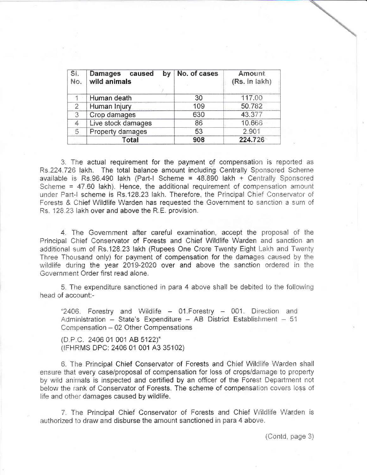| SI.<br>No.     | Damages caused<br>by<br>wild animals | No. of cases | <b>Amount</b><br>(Rs. in lakh) |
|----------------|--------------------------------------|--------------|--------------------------------|
|                | Human death                          | 30           | 117.00                         |
| $\overline{2}$ | Human Injury                         | 109          | 50.782                         |
| 3              | Crop damages                         | 630          | 43.377                         |
| 4              | Live stock damages                   | 86           | 10.666                         |
| 5              | Property damages                     | 53           | 2.901                          |
|                | Total                                | 908          | 224.726                        |

3. The actual requirement for the payment of compensation is reported as Rs.224.726 lakh. The total balance amount including Centrally Sponsored Scheme available is Rs.96.490 lakh (Part-I Scheme = 48.890 lakh + Centrally Sponsored Scheme = 47.60 lakh). Hence, the additional requirement of compensation amount under Part-I scheme is Rs.128.23 lakh. Therefore, the Principal Chief Conservator of Forests & Chief Wildlife Warden has requested the Government to sanction a sum of Rs. 128.23 lakh over and above the R.E. provision.

4. The Government after careful examination, accept the proposal of the Principal Chief Conservator of Forests and Chief Wildlife Warden and sanction an additional sum of Rs.128.23 lakh (Rupees One Crore Twenty Eight Lakh and Twenty Three Thousand only) for payment of compensation for the damages caused by the wildlife during the year 2019-2020 over and above the sanction ordered in the Government Order first read alone.

5. The expenditure sanctioned in para 4 above shall be debited to the following head of account:-

"2406. Forestry and Wildlife - 01. Forestry - 001. Direction and Administration - State's Expenditure - AB District Establishment - 51 Compensation - 02 Other Compensations

(D.P.C. 2406 01 001 AB 5122)" (IFHRMS DPC: 2406 01 001 A3 35102)

6. The Principal Chief Conservator of Forests and Chief Wildlife Warden shall ensure that every case/proposal of compensation for loss of crops/damage to property by wild animals is inspected and certified by an officer of the Forest Department not below the rank of Conservator of Forests. The scheme of compensation covers loss of life and other damages caused by wildlife.

7. The Principal Chief Conservator of Forests and Chief Wildlife Warden is authorized to draw and disburse the amount sanctioned in para 4 above.

(Contd, page 3)